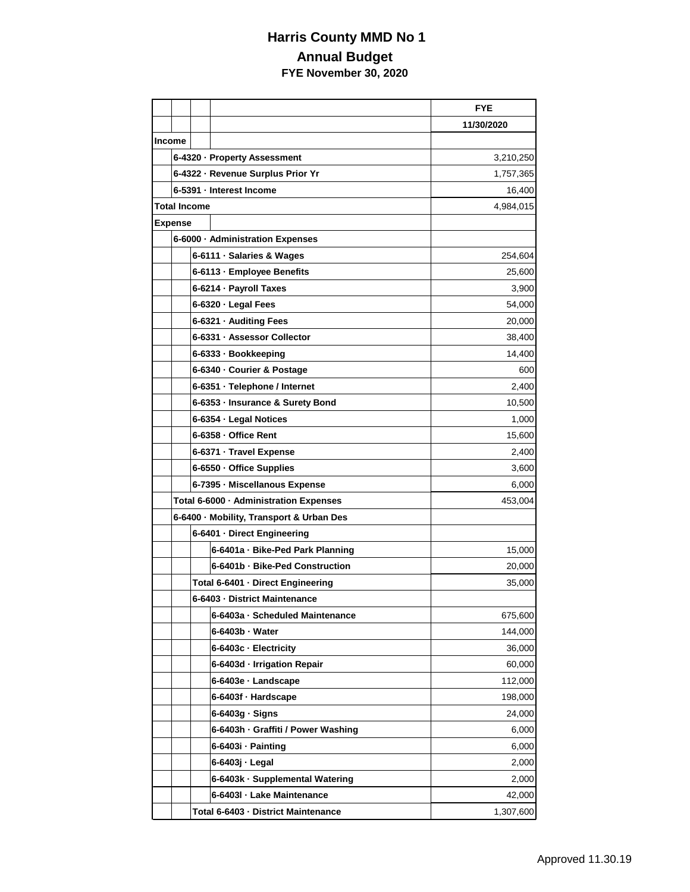## **Harris County MMD No 1 Annual Budget FYE November 30, 2020**

|               |                                          |                                                   |                                     | <b>FYE</b> |  |
|---------------|------------------------------------------|---------------------------------------------------|-------------------------------------|------------|--|
|               |                                          |                                                   |                                     | 11/30/2020 |  |
| <b>Income</b> |                                          |                                                   |                                     |            |  |
|               |                                          |                                                   | 6-4320 · Property Assessment        | 3,210,250  |  |
|               | 6-4322 - Revenue Surplus Prior Yr        |                                                   |                                     | 1,757,365  |  |
|               |                                          |                                                   | 6-5391 - Interest Income            | 16,400     |  |
|               | <b>Total Income</b><br>4,984,015         |                                                   |                                     |            |  |
|               | <b>Expense</b>                           |                                                   |                                     |            |  |
|               | 6-6000 · Administration Expenses         |                                                   |                                     |            |  |
|               |                                          |                                                   | 6-6111 · Salaries & Wages           | 254,604    |  |
|               |                                          |                                                   | 6-6113 - Employee Benefits          | 25,600     |  |
|               |                                          | 6-6214 · Payroll Taxes                            |                                     | 3,900      |  |
|               |                                          |                                                   | 6-6320 · Legal Fees                 | 54,000     |  |
|               |                                          |                                                   | 6-6321 · Auditing Fees              | 20,000     |  |
|               |                                          |                                                   | 6-6331 - Assessor Collector         | 38,400     |  |
|               |                                          |                                                   | 6-6333 · Bookkeeping                | 14,400     |  |
|               |                                          |                                                   | 6-6340 · Courier & Postage          | 600        |  |
|               |                                          |                                                   | 6-6351 · Telephone / Internet       | 2,400      |  |
|               |                                          |                                                   | 6-6353 - Insurance & Surety Bond    | 10,500     |  |
|               |                                          |                                                   | 6-6354 · Legal Notices              | 1,000      |  |
|               |                                          |                                                   | 6-6358 - Office Rent                | 15,600     |  |
|               |                                          | 6-6371 - Travel Expense                           |                                     | 2,400      |  |
|               |                                          | 6-6550 · Office Supplies                          |                                     | 3,600      |  |
|               |                                          | 6-7395 - Miscellanous Expense                     |                                     | 6,000      |  |
|               |                                          | Total 6-6000 · Administration Expenses<br>453,004 |                                     |            |  |
|               | 6-6400 · Mobility, Transport & Urban Des |                                                   |                                     |            |  |
|               |                                          | 6-6401 - Direct Engineering                       |                                     |            |  |
|               |                                          |                                                   | 6-6401a - Bike-Ped Park Planning    | 15,000     |  |
|               |                                          |                                                   | 6-6401b - Bike-Ped Construction     | 20,000     |  |
|               |                                          |                                                   | Total 6-6401 · Direct Engineering   | 35,000     |  |
|               |                                          | 6-6403 - District Maintenance                     |                                     |            |  |
|               |                                          |                                                   | 6-6403a - Scheduled Maintenance     | 675,600    |  |
|               |                                          |                                                   | 6-6403b · Water                     | 144,000    |  |
|               |                                          |                                                   | 6-6403c - Electricity               | 36,000     |  |
|               |                                          |                                                   | 6-6403d - Irrigation Repair         | 60,000     |  |
|               |                                          |                                                   | 6-6403e · Landscape                 | 112,000    |  |
|               |                                          |                                                   | 6-6403f · Hardscape                 | 198,000    |  |
|               |                                          |                                                   | $6-6403g \cdot$ Signs               | 24,000     |  |
|               |                                          |                                                   | 6-6403h · Graffiti / Power Washing  | 6,000      |  |
|               |                                          |                                                   | 6-6403i · Painting                  | 6,000      |  |
|               |                                          |                                                   | 6-6403j - Legal                     | 2,000      |  |
|               |                                          |                                                   | 6-6403k · Supplemental Watering     | 2,000      |  |
|               |                                          |                                                   | 6-6403l - Lake Maintenance          | 42,000     |  |
|               |                                          |                                                   | Total 6-6403 - District Maintenance | 1,307,600  |  |